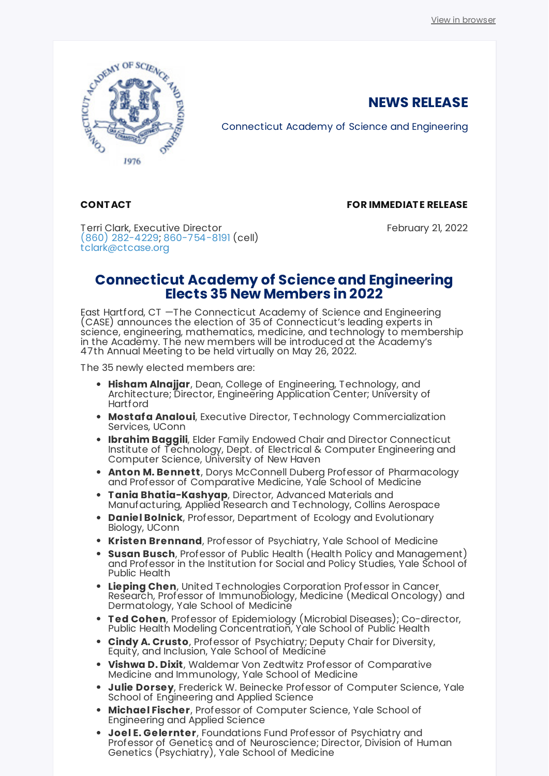

Connecticut Academy of Science and Engineering

## **CONT ACT**

### **FOR IMMEDIAT E RELEASE**

**NEWS RELEASE**

Terri Clark, Executive Director [\(860\) 282-4229;](tel:(860) 282-4229) [860-754-8191](tel:860-754-8191) (cell) [tclark@ctcase.org](mailto:tclark@ctcase.org)

February 21, 2022

# **Connecticut Academy of Science and Engineering Elects 35 New Members in 2022**

East Hartford, CT —The Connecticut Academy of Science and Engineering (CASE) announces the election of 35 of Connecticut's leading experts in science, engineering, mathematics, medicine, and technology to membership in the Academy. The new members will be introduced at the Academy's 47th Annual Meeting to be held virtually on May 26, 2022.

The 35 newly elected members are:

- **Hisham Alnajjar**, Dean, College of Engineering, Technology, and Architecture; Director, Engineering Application Center; University of **Hartford**
- **Mostafa Analoui**, Executive Director, Technology Commercialization Services, UConn
- **Ibrahim Baggili**, Elder Family Endowed Chair and Director Connecticut Institute of Technology, Dept. of Electrical & Computer Engineering and Computer Science, University of New Haven
- **Anton M. Bennett**, Dorys McConnell Duberg Professor of Pharmacology and Professor of Comparative Medicine, Yale School of Medicine
- **T ania Bhatia-Kashyap**, Director, Advanced Materials and Manufacturing, Applied Research and Technology, Collins Aerospace
- **Daniel Bolnick**, Professor, Department of Ecology and Evolutionary Biology, UConn
- **Kristen Brennand**, Professor of Psychiatry, Yale School of Medicine
- **Susan Busch**, Professor of Public Health (Health Policy and Management) and Professor in the Institution for Social and Policy Studies, Yale School of Public Health
- **Lieping Chen**, United Technologies Corporation Professor in Cancer Research, Professor of Immunobiology, Medicine (Medical Oncology) and Dermatology, Yale School of Medicine
- **T ed Cohen**, Professor of Epidemiology (Microbial Diseases); Co-director, Public Health Modeling Concentration, Yale School of Public Health
- **Cindy A. Crusto**, Professor of Psychiatry; Deputy Chair for Diversity, Equity, and Inclusion, Yale School of Medicine
- **Vishwa D. Dixit**, Waldemar Von Zedtwitz Professor of Comparative Medicine and Immunology, Yale School of Medicine
- **Julie Dorsey**, Frederick W. Beinecke Professor of Computer Science, Yale School of Engineering and Applied Science
- **Michael Fischer**, Professor of Computer Science, Yale School of Engineering and Applied Science
- **Joel E. Gelernter**, Foundations Fund Professor of Psychiatry and Professor of Genetics and of Neuroscience; Director, Division of Human Genetics (Psychiatry), Yale School of Medicine